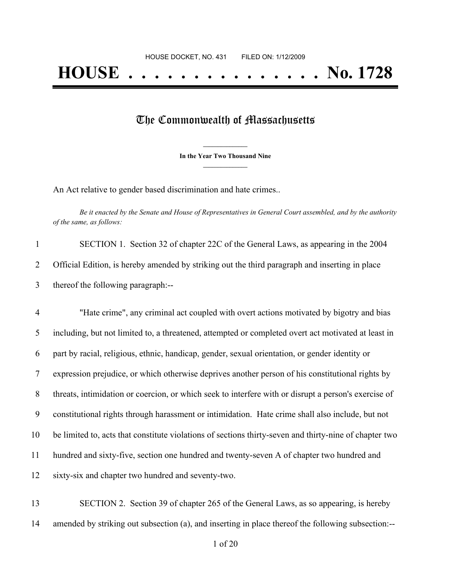## The Commonwealth of Massachusetts

**\_\_\_\_\_\_\_\_\_\_\_\_\_\_\_ In the Year Two Thousand Nine \_\_\_\_\_\_\_\_\_\_\_\_\_\_\_**

An Act relative to gender based discrimination and hate crimes..

Be it enacted by the Senate and House of Representatives in General Court assembled, and by the authority *of the same, as follows:*

| SECTION 1. Section 32 of chapter 22C of the General Laws, as appearing in the 2004             |
|------------------------------------------------------------------------------------------------|
| Official Edition, is hereby amended by striking out the third paragraph and inserting in place |
| thereof the following paragraph:--                                                             |

 "Hate crime", any criminal act coupled with overt actions motivated by bigotry and bias including, but not limited to, a threatened, attempted or completed overt act motivated at least in part by racial, religious, ethnic, handicap, gender, sexual orientation, or gender identity or expression prejudice, or which otherwise deprives another person of his constitutional rights by threats, intimidation or coercion, or which seek to interfere with or disrupt a person's exercise of constitutional rights through harassment or intimidation. Hate crime shall also include, but not be limited to, acts that constitute violations of sections thirty-seven and thirty-nine of chapter two hundred and sixty-five, section one hundred and twenty-seven A of chapter two hundred and sixty-six and chapter two hundred and seventy-two.

 SECTION 2. Section 39 of chapter 265 of the General Laws, as so appearing, is hereby amended by striking out subsection (a), and inserting in place thereof the following subsection:--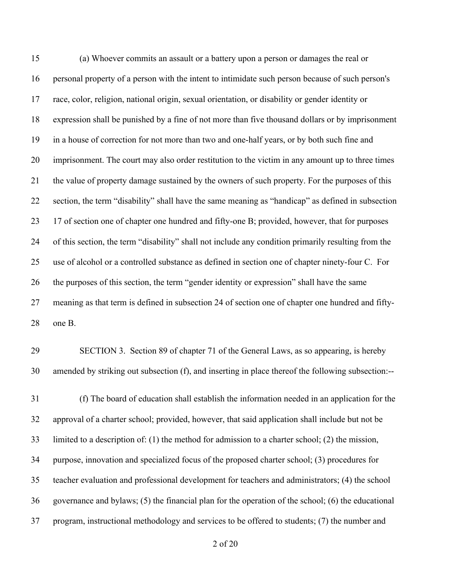(a) Whoever commits an assault or a battery upon a person or damages the real or personal property of a person with the intent to intimidate such person because of such person's race, color, religion, national origin, sexual orientation, or disability or gender identity or expression shall be punished by a fine of not more than five thousand dollars or by imprisonment in a house of correction for not more than two and one-half years, or by both such fine and imprisonment. The court may also order restitution to the victim in any amount up to three times the value of property damage sustained by the owners of such property. For the purposes of this section, the term "disability" shall have the same meaning as "handicap" as defined in subsection 17 of section one of chapter one hundred and fifty-one B; provided, however, that for purposes of this section, the term "disability" shall not include any condition primarily resulting from the use of alcohol or a controlled substance as defined in section one of chapter ninety-four C. For the purposes of this section, the term "gender identity or expression" shall have the same meaning as that term is defined in subsection 24 of section one of chapter one hundred and fifty-one B.

## SECTION 3. Section 89 of chapter 71 of the General Laws, as so appearing, is hereby amended by striking out subsection (f), and inserting in place thereof the following subsection:--

 (f) The board of education shall establish the information needed in an application for the approval of a charter school; provided, however, that said application shall include but not be limited to a description of: (1) the method for admission to a charter school; (2) the mission, purpose, innovation and specialized focus of the proposed charter school; (3) procedures for teacher evaluation and professional development for teachers and administrators; (4) the school governance and bylaws; (5) the financial plan for the operation of the school; (6) the educational program, instructional methodology and services to be offered to students; (7) the number and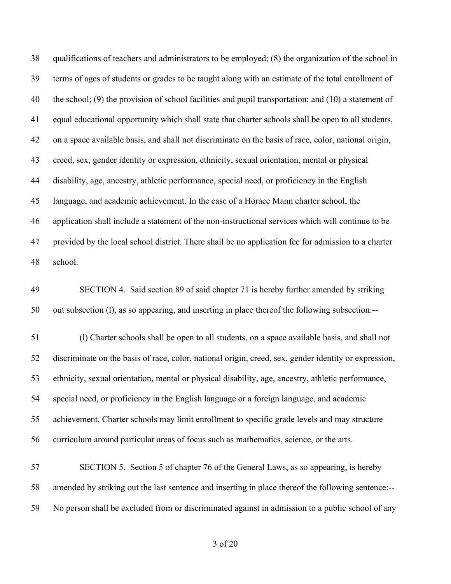qualifications of teachers and administrators to be employed; (8) the organization of the school in terms of ages of students or grades to be taught along with an estimate of the total enrollment of the school; (9) the provision of school facilities and pupil transportation; and (10) a statement of equal educational opportunity which shall state that charter schools shall be open to all students, on a space available basis, and shall not discriminate on the basis of race, color, national origin, creed, sex, gender identity or expression, ethnicity, sexual orientation, mental or physical disability, age, ancestry, athletic performance, special need, or proficiency in the English language, and academic achievement. In the case of a Horace Mann charter school, the application shall include a statement of the non-instructional services which will continue to be provided by the local school district. There shall be no application fee for admission to a charter school.

 SECTION 4. Said section 89 of said chapter 71 is hereby further amended by striking out subsection (l), as so appearing, and inserting in place thereof the following subsection:--

 (l) Charter schools shall be open to all students, on a space available basis, and shall not discriminate on the basis of race, color, national origin, creed, sex, gender identity or expression, ethnicity, sexual orientation, mental or physical disability, age, ancestry, athletic performance, special need, or proficiency in the English language or a foreign language, and academic achievement. Charter schools may limit enrollment to specific grade levels and may structure curriculum around particular areas of focus such as mathematics, science, or the arts.

 SECTION 5. Section 5 of chapter 76 of the General Laws, as so appearing, is hereby amended by striking out the last sentence and inserting in place thereof the following sentence:-- No person shall be excluded from or discriminated against in admission to a public school of any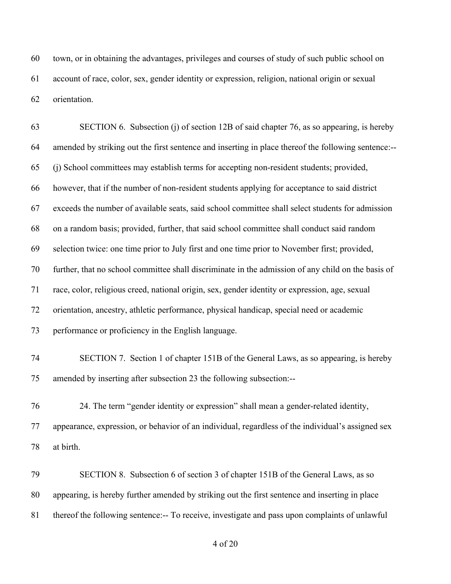town, or in obtaining the advantages, privileges and courses of study of such public school on account of race, color, sex, gender identity or expression, religion, national origin or sexual orientation.

 SECTION 6. Subsection (j) of section 12B of said chapter 76, as so appearing, is hereby amended by striking out the first sentence and inserting in place thereof the following sentence:-- (j) School committees may establish terms for accepting non-resident students; provided, however, that if the number of non-resident students applying for acceptance to said district exceeds the number of available seats, said school committee shall select students for admission on a random basis; provided, further, that said school committee shall conduct said random selection twice: one time prior to July first and one time prior to November first; provided, further, that no school committee shall discriminate in the admission of any child on the basis of race, color, religious creed, national origin, sex, gender identity or expression, age, sexual orientation, ancestry, athletic performance, physical handicap, special need or academic performance or proficiency in the English language. SECTION 7. Section 1 of chapter 151B of the General Laws, as so appearing, is hereby amended by inserting after subsection 23 the following subsection:-- 24. The term "gender identity or expression" shall mean a gender-related identity, appearance, expression, or behavior of an individual, regardless of the individual's assigned sex at birth. SECTION 8. Subsection 6 of section 3 of chapter 151B of the General Laws, as so

 appearing, is hereby further amended by striking out the first sentence and inserting in place thereof the following sentence:-- To receive, investigate and pass upon complaints of unlawful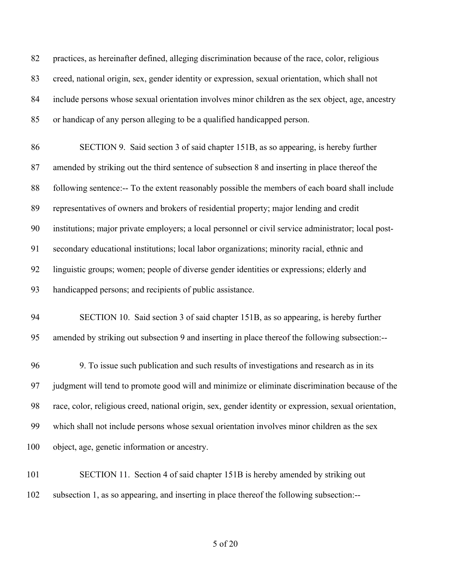practices, as hereinafter defined, alleging discrimination because of the race, color, religious creed, national origin, sex, gender identity or expression, sexual orientation, which shall not include persons whose sexual orientation involves minor children as the sex object, age, ancestry or handicap of any person alleging to be a qualified handicapped person.

 SECTION 9. Said section 3 of said chapter 151B, as so appearing, is hereby further amended by striking out the third sentence of subsection 8 and inserting in place thereof the following sentence:-- To the extent reasonably possible the members of each board shall include representatives of owners and brokers of residential property; major lending and credit institutions; major private employers; a local personnel or civil service administrator; local post- secondary educational institutions; local labor organizations; minority racial, ethnic and linguistic groups; women; people of diverse gender identities or expressions; elderly and handicapped persons; and recipients of public assistance.

 SECTION 10. Said section 3 of said chapter 151B, as so appearing, is hereby further amended by striking out subsection 9 and inserting in place thereof the following subsection:--

 9. To issue such publication and such results of investigations and research as in its judgment will tend to promote good will and minimize or eliminate discrimination because of the race, color, religious creed, national origin, sex, gender identity or expression, sexual orientation, which shall not include persons whose sexual orientation involves minor children as the sex object, age, genetic information or ancestry.

 SECTION 11. Section 4 of said chapter 151B is hereby amended by striking out subsection 1, as so appearing, and inserting in place thereof the following subsection:--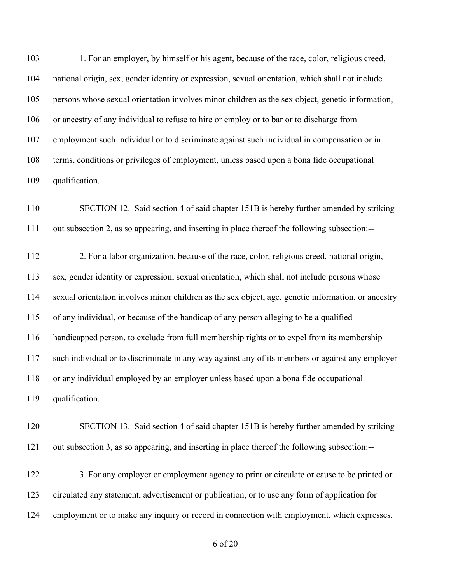1. For an employer, by himself or his agent, because of the race, color, religious creed, national origin, sex, gender identity or expression, sexual orientation, which shall not include persons whose sexual orientation involves minor children as the sex object, genetic information, or ancestry of any individual to refuse to hire or employ or to bar or to discharge from employment such individual or to discriminate against such individual in compensation or in terms, conditions or privileges of employment, unless based upon a bona fide occupational qualification.

 SECTION 12. Said section 4 of said chapter 151B is hereby further amended by striking out subsection 2, as so appearing, and inserting in place thereof the following subsection:--

 2. For a labor organization, because of the race, color, religious creed, national origin, sex, gender identity or expression, sexual orientation, which shall not include persons whose sexual orientation involves minor children as the sex object, age, genetic information, or ancestry of any individual, or because of the handicap of any person alleging to be a qualified handicapped person, to exclude from full membership rights or to expel from its membership such individual or to discriminate in any way against any of its members or against any employer or any individual employed by an employer unless based upon a bona fide occupational qualification.

 SECTION 13. Said section 4 of said chapter 151B is hereby further amended by striking out subsection 3, as so appearing, and inserting in place thereof the following subsection:--

122 3. For any employer or employment agency to print or circulate or cause to be printed or circulated any statement, advertisement or publication, or to use any form of application for employment or to make any inquiry or record in connection with employment, which expresses,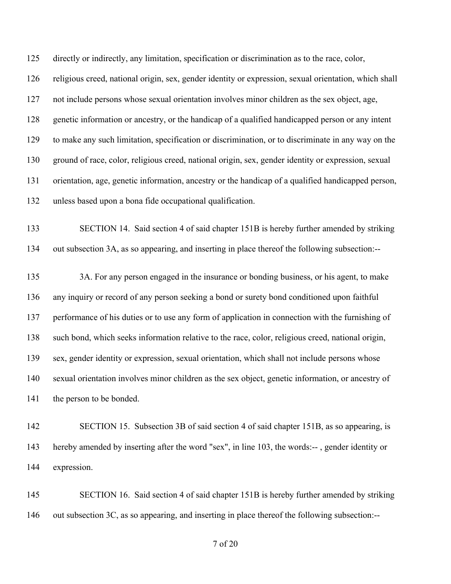directly or indirectly, any limitation, specification or discrimination as to the race, color, religious creed, national origin, sex, gender identity or expression, sexual orientation, which shall not include persons whose sexual orientation involves minor children as the sex object, age, genetic information or ancestry, or the handicap of a qualified handicapped person or any intent to make any such limitation, specification or discrimination, or to discriminate in any way on the ground of race, color, religious creed, national origin, sex, gender identity or expression, sexual orientation, age, genetic information, ancestry or the handicap of a qualified handicapped person, unless based upon a bona fide occupational qualification.

 SECTION 14. Said section 4 of said chapter 151B is hereby further amended by striking out subsection 3A, as so appearing, and inserting in place thereof the following subsection:--

 3A. For any person engaged in the insurance or bonding business, or his agent, to make any inquiry or record of any person seeking a bond or surety bond conditioned upon faithful performance of his duties or to use any form of application in connection with the furnishing of such bond, which seeks information relative to the race, color, religious creed, national origin, sex, gender identity or expression, sexual orientation, which shall not include persons whose sexual orientation involves minor children as the sex object, genetic information, or ancestry of the person to be bonded.

 SECTION 15. Subsection 3B of said section 4 of said chapter 151B, as so appearing, is hereby amended by inserting after the word "sex", in line 103, the words:-- , gender identity or expression.

 SECTION 16. Said section 4 of said chapter 151B is hereby further amended by striking out subsection 3C, as so appearing, and inserting in place thereof the following subsection:--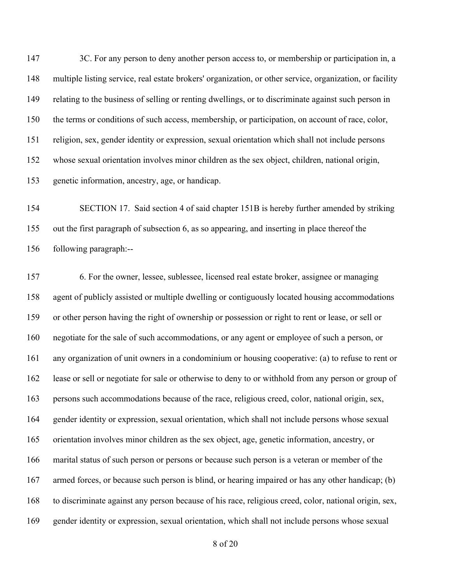147 3C. For any person to deny another person access to, or membership or participation in, a multiple listing service, real estate brokers' organization, or other service, organization, or facility relating to the business of selling or renting dwellings, or to discriminate against such person in the terms or conditions of such access, membership, or participation, on account of race, color, religion, sex, gender identity or expression, sexual orientation which shall not include persons whose sexual orientation involves minor children as the sex object, children, national origin, genetic information, ancestry, age, or handicap.

 SECTION 17. Said section 4 of said chapter 151B is hereby further amended by striking out the first paragraph of subsection 6, as so appearing, and inserting in place thereof the following paragraph:--

 6. For the owner, lessee, sublessee, licensed real estate broker, assignee or managing agent of publicly assisted or multiple dwelling or contiguously located housing accommodations or other person having the right of ownership or possession or right to rent or lease, or sell or negotiate for the sale of such accommodations, or any agent or employee of such a person, or any organization of unit owners in a condominium or housing cooperative: (a) to refuse to rent or lease or sell or negotiate for sale or otherwise to deny to or withhold from any person or group of persons such accommodations because of the race, religious creed, color, national origin, sex, gender identity or expression, sexual orientation, which shall not include persons whose sexual orientation involves minor children as the sex object, age, genetic information, ancestry, or marital status of such person or persons or because such person is a veteran or member of the armed forces, or because such person is blind, or hearing impaired or has any other handicap; (b) to discriminate against any person because of his race, religious creed, color, national origin, sex, gender identity or expression, sexual orientation, which shall not include persons whose sexual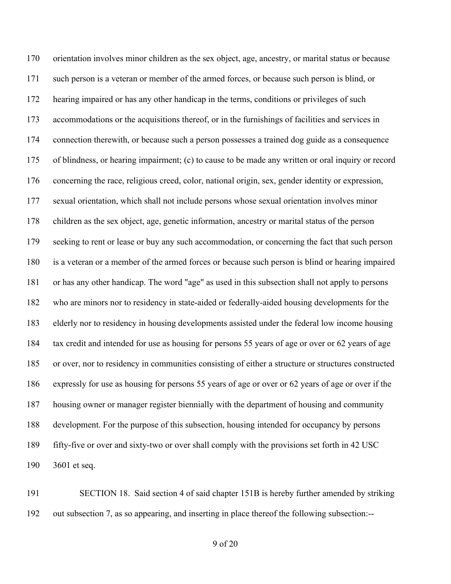orientation involves minor children as the sex object, age, ancestry, or marital status or because such person is a veteran or member of the armed forces, or because such person is blind, or hearing impaired or has any other handicap in the terms, conditions or privileges of such accommodations or the acquisitions thereof, or in the furnishings of facilities and services in connection therewith, or because such a person possesses a trained dog guide as a consequence of blindness, or hearing impairment; (c) to cause to be made any written or oral inquiry or record concerning the race, religious creed, color, national origin, sex, gender identity or expression, sexual orientation, which shall not include persons whose sexual orientation involves minor children as the sex object, age, genetic information, ancestry or marital status of the person 179 seeking to rent or lease or buy any such accommodation, or concerning the fact that such person is a veteran or a member of the armed forces or because such person is blind or hearing impaired or has any other handicap. The word "age" as used in this subsection shall not apply to persons who are minors nor to residency in state-aided or federally-aided housing developments for the elderly nor to residency in housing developments assisted under the federal low income housing tax credit and intended for use as housing for persons 55 years of age or over or 62 years of age or over, nor to residency in communities consisting of either a structure or structures constructed expressly for use as housing for persons 55 years of age or over or 62 years of age or over if the housing owner or manager register biennially with the department of housing and community development. For the purpose of this subsection, housing intended for occupancy by persons fifty-five or over and sixty-two or over shall comply with the provisions set forth in 42 USC 3601 et seq.

 SECTION 18. Said section 4 of said chapter 151B is hereby further amended by striking out subsection 7, as so appearing, and inserting in place thereof the following subsection:--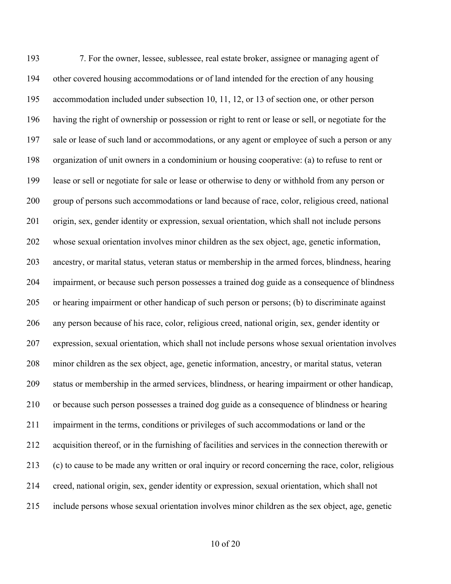7. For the owner, lessee, sublessee, real estate broker, assignee or managing agent of other covered housing accommodations or of land intended for the erection of any housing accommodation included under subsection 10, 11, 12, or 13 of section one, or other person having the right of ownership or possession or right to rent or lease or sell, or negotiate for the sale or lease of such land or accommodations, or any agent or employee of such a person or any organization of unit owners in a condominium or housing cooperative: (a) to refuse to rent or lease or sell or negotiate for sale or lease or otherwise to deny or withhold from any person or group of persons such accommodations or land because of race, color, religious creed, national origin, sex, gender identity or expression, sexual orientation, which shall not include persons whose sexual orientation involves minor children as the sex object, age, genetic information, ancestry, or marital status, veteran status or membership in the armed forces, blindness, hearing impairment, or because such person possesses a trained dog guide as a consequence of blindness or hearing impairment or other handicap of such person or persons; (b) to discriminate against any person because of his race, color, religious creed, national origin, sex, gender identity or expression, sexual orientation, which shall not include persons whose sexual orientation involves minor children as the sex object, age, genetic information, ancestry, or marital status, veteran status or membership in the armed services, blindness, or hearing impairment or other handicap, or because such person possesses a trained dog guide as a consequence of blindness or hearing impairment in the terms, conditions or privileges of such accommodations or land or the acquisition thereof, or in the furnishing of facilities and services in the connection therewith or (c) to cause to be made any written or oral inquiry or record concerning the race, color, religious creed, national origin, sex, gender identity or expression, sexual orientation, which shall not include persons whose sexual orientation involves minor children as the sex object, age, genetic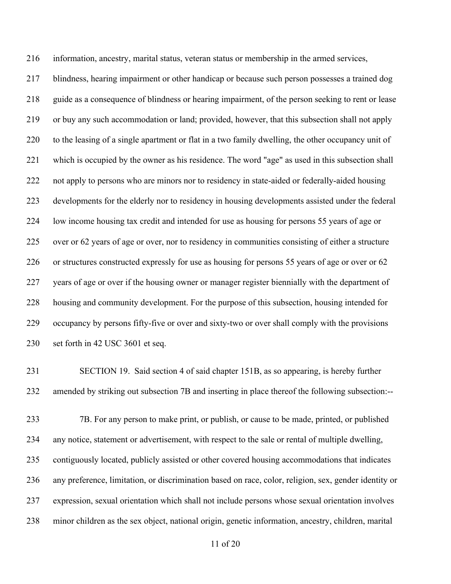information, ancestry, marital status, veteran status or membership in the armed services, blindness, hearing impairment or other handicap or because such person possesses a trained dog guide as a consequence of blindness or hearing impairment, of the person seeking to rent or lease or buy any such accommodation or land; provided, however, that this subsection shall not apply to the leasing of a single apartment or flat in a two family dwelling, the other occupancy unit of which is occupied by the owner as his residence. The word "age" as used in this subsection shall not apply to persons who are minors nor to residency in state-aided or federally-aided housing developments for the elderly nor to residency in housing developments assisted under the federal low income housing tax credit and intended for use as housing for persons 55 years of age or over or 62 years of age or over, nor to residency in communities consisting of either a structure or structures constructed expressly for use as housing for persons 55 years of age or over or 62 years of age or over if the housing owner or manager register biennially with the department of housing and community development. For the purpose of this subsection, housing intended for occupancy by persons fifty-five or over and sixty-two or over shall comply with the provisions set forth in 42 USC 3601 et seq.

 SECTION 19. Said section 4 of said chapter 151B, as so appearing, is hereby further amended by striking out subsection 7B and inserting in place thereof the following subsection:--

 7B. For any person to make print, or publish, or cause to be made, printed, or published any notice, statement or advertisement, with respect to the sale or rental of multiple dwelling, contiguously located, publicly assisted or other covered housing accommodations that indicates any preference, limitation, or discrimination based on race, color, religion, sex, gender identity or expression, sexual orientation which shall not include persons whose sexual orientation involves minor children as the sex object, national origin, genetic information, ancestry, children, marital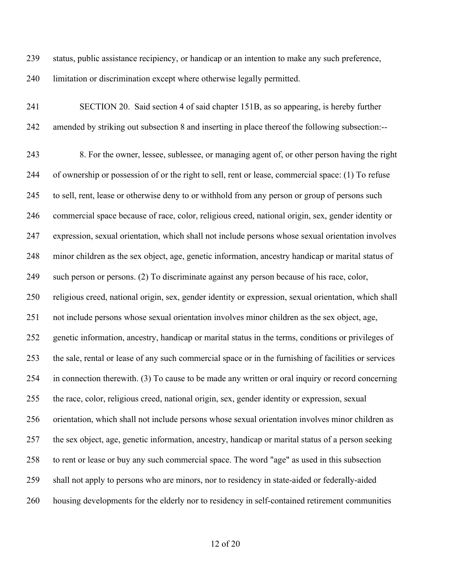status, public assistance recipiency, or handicap or an intention to make any such preference, limitation or discrimination except where otherwise legally permitted.

 SECTION 20. Said section 4 of said chapter 151B, as so appearing, is hereby further amended by striking out subsection 8 and inserting in place thereof the following subsection:--

 8. For the owner, lessee, sublessee, or managing agent of, or other person having the right of ownership or possession of or the right to sell, rent or lease, commercial space: (1) To refuse to sell, rent, lease or otherwise deny to or withhold from any person or group of persons such commercial space because of race, color, religious creed, national origin, sex, gender identity or expression, sexual orientation, which shall not include persons whose sexual orientation involves minor children as the sex object, age, genetic information, ancestry handicap or marital status of such person or persons. (2) To discriminate against any person because of his race, color, religious creed, national origin, sex, gender identity or expression, sexual orientation, which shall not include persons whose sexual orientation involves minor children as the sex object, age, genetic information, ancestry, handicap or marital status in the terms, conditions or privileges of the sale, rental or lease of any such commercial space or in the furnishing of facilities or services in connection therewith. (3) To cause to be made any written or oral inquiry or record concerning the race, color, religious creed, national origin, sex, gender identity or expression, sexual orientation, which shall not include persons whose sexual orientation involves minor children as the sex object, age, genetic information, ancestry, handicap or marital status of a person seeking to rent or lease or buy any such commercial space. The word "age" as used in this subsection shall not apply to persons who are minors, nor to residency in state-aided or federally-aided housing developments for the elderly nor to residency in self-contained retirement communities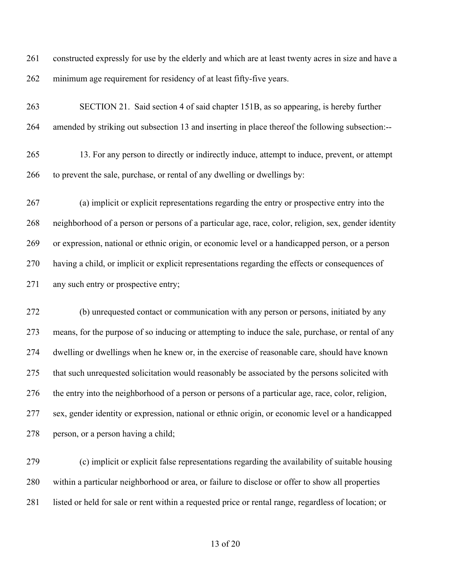constructed expressly for use by the elderly and which are at least twenty acres in size and have a minimum age requirement for residency of at least fifty-five years.

 SECTION 21. Said section 4 of said chapter 151B, as so appearing, is hereby further amended by striking out subsection 13 and inserting in place thereof the following subsection:--

 13. For any person to directly or indirectly induce, attempt to induce, prevent, or attempt to prevent the sale, purchase, or rental of any dwelling or dwellings by:

 (a) implicit or explicit representations regarding the entry or prospective entry into the neighborhood of a person or persons of a particular age, race, color, religion, sex, gender identity or expression, national or ethnic origin, or economic level or a handicapped person, or a person having a child, or implicit or explicit representations regarding the effects or consequences of any such entry or prospective entry;

 (b) unrequested contact or communication with any person or persons, initiated by any means, for the purpose of so inducing or attempting to induce the sale, purchase, or rental of any dwelling or dwellings when he knew or, in the exercise of reasonable care, should have known that such unrequested solicitation would reasonably be associated by the persons solicited with the entry into the neighborhood of a person or persons of a particular age, race, color, religion, sex, gender identity or expression, national or ethnic origin, or economic level or a handicapped person, or a person having a child;

 (c) implicit or explicit false representations regarding the availability of suitable housing within a particular neighborhood or area, or failure to disclose or offer to show all properties listed or held for sale or rent within a requested price or rental range, regardless of location; or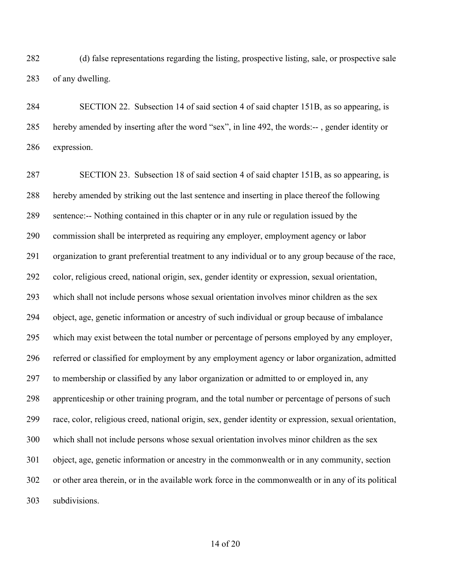(d) false representations regarding the listing, prospective listing, sale, or prospective sale of any dwelling.

 SECTION 22. Subsection 14 of said section 4 of said chapter 151B, as so appearing, is hereby amended by inserting after the word "sex", in line 492, the words:-- , gender identity or expression.

 SECTION 23. Subsection 18 of said section 4 of said chapter 151B, as so appearing, is hereby amended by striking out the last sentence and inserting in place thereof the following sentence:-- Nothing contained in this chapter or in any rule or regulation issued by the commission shall be interpreted as requiring any employer, employment agency or labor organization to grant preferential treatment to any individual or to any group because of the race, color, religious creed, national origin, sex, gender identity or expression, sexual orientation, which shall not include persons whose sexual orientation involves minor children as the sex object, age, genetic information or ancestry of such individual or group because of imbalance which may exist between the total number or percentage of persons employed by any employer, referred or classified for employment by any employment agency or labor organization, admitted to membership or classified by any labor organization or admitted to or employed in, any apprenticeship or other training program, and the total number or percentage of persons of such race, color, religious creed, national origin, sex, gender identity or expression, sexual orientation, which shall not include persons whose sexual orientation involves minor children as the sex object, age, genetic information or ancestry in the commonwealth or in any community, section or other area therein, or in the available work force in the commonwealth or in any of its political subdivisions.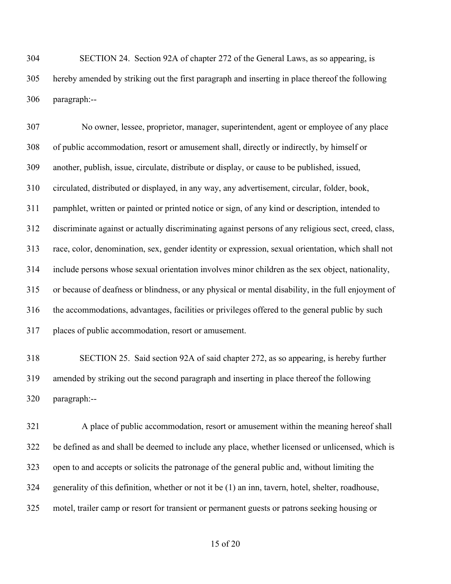SECTION 24. Section 92A of chapter 272 of the General Laws, as so appearing, is hereby amended by striking out the first paragraph and inserting in place thereof the following paragraph:--

 No owner, lessee, proprietor, manager, superintendent, agent or employee of any place of public accommodation, resort or amusement shall, directly or indirectly, by himself or another, publish, issue, circulate, distribute or display, or cause to be published, issued, circulated, distributed or displayed, in any way, any advertisement, circular, folder, book, pamphlet, written or painted or printed notice or sign, of any kind or description, intended to discriminate against or actually discriminating against persons of any religious sect, creed, class, race, color, denomination, sex, gender identity or expression, sexual orientation, which shall not include persons whose sexual orientation involves minor children as the sex object, nationality, or because of deafness or blindness, or any physical or mental disability, in the full enjoyment of the accommodations, advantages, facilities or privileges offered to the general public by such places of public accommodation, resort or amusement.

 SECTION 25. Said section 92A of said chapter 272, as so appearing, is hereby further amended by striking out the second paragraph and inserting in place thereof the following paragraph:--

 A place of public accommodation, resort or amusement within the meaning hereof shall be defined as and shall be deemed to include any place, whether licensed or unlicensed, which is open to and accepts or solicits the patronage of the general public and, without limiting the generality of this definition, whether or not it be (1) an inn, tavern, hotel, shelter, roadhouse, motel, trailer camp or resort for transient or permanent guests or patrons seeking housing or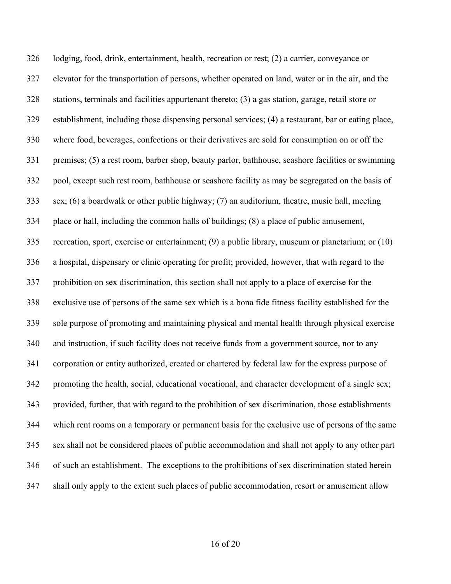lodging, food, drink, entertainment, health, recreation or rest; (2) a carrier, conveyance or elevator for the transportation of persons, whether operated on land, water or in the air, and the stations, terminals and facilities appurtenant thereto; (3) a gas station, garage, retail store or establishment, including those dispensing personal services; (4) a restaurant, bar or eating place, where food, beverages, confections or their derivatives are sold for consumption on or off the premises; (5) a rest room, barber shop, beauty parlor, bathhouse, seashore facilities or swimming pool, except such rest room, bathhouse or seashore facility as may be segregated on the basis of sex; (6) a boardwalk or other public highway; (7) an auditorium, theatre, music hall, meeting place or hall, including the common halls of buildings; (8) a place of public amusement, recreation, sport, exercise or entertainment; (9) a public library, museum or planetarium; or (10) a hospital, dispensary or clinic operating for profit; provided, however, that with regard to the prohibition on sex discrimination, this section shall not apply to a place of exercise for the exclusive use of persons of the same sex which is a bona fide fitness facility established for the sole purpose of promoting and maintaining physical and mental health through physical exercise and instruction, if such facility does not receive funds from a government source, nor to any corporation or entity authorized, created or chartered by federal law for the express purpose of promoting the health, social, educational vocational, and character development of a single sex; provided, further, that with regard to the prohibition of sex discrimination, those establishments which rent rooms on a temporary or permanent basis for the exclusive use of persons of the same sex shall not be considered places of public accommodation and shall not apply to any other part of such an establishment. The exceptions to the prohibitions of sex discrimination stated herein shall only apply to the extent such places of public accommodation, resort or amusement allow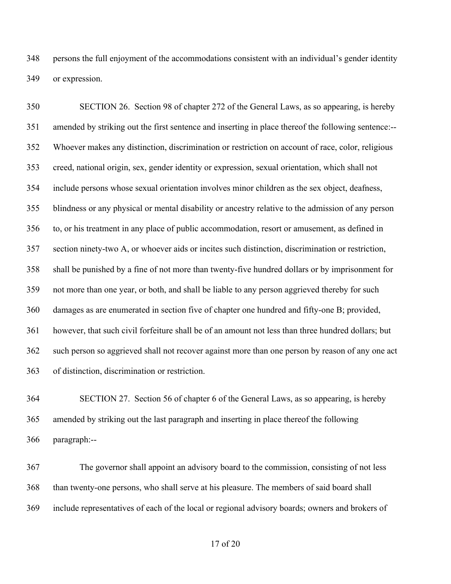persons the full enjoyment of the accommodations consistent with an individual's gender identity or expression.

 SECTION 26. Section 98 of chapter 272 of the General Laws, as so appearing, is hereby amended by striking out the first sentence and inserting in place thereof the following sentence:-- Whoever makes any distinction, discrimination or restriction on account of race, color, religious creed, national origin, sex, gender identity or expression, sexual orientation, which shall not include persons whose sexual orientation involves minor children as the sex object, deafness, blindness or any physical or mental disability or ancestry relative to the admission of any person to, or his treatment in any place of public accommodation, resort or amusement, as defined in section ninety-two A, or whoever aids or incites such distinction, discrimination or restriction, shall be punished by a fine of not more than twenty-five hundred dollars or by imprisonment for not more than one year, or both, and shall be liable to any person aggrieved thereby for such damages as are enumerated in section five of chapter one hundred and fifty-one B; provided, however, that such civil forfeiture shall be of an amount not less than three hundred dollars; but such person so aggrieved shall not recover against more than one person by reason of any one act of distinction, discrimination or restriction.

 SECTION 27. Section 56 of chapter 6 of the General Laws, as so appearing, is hereby amended by striking out the last paragraph and inserting in place thereof the following paragraph:--

 The governor shall appoint an advisory board to the commission, consisting of not less than twenty-one persons, who shall serve at his pleasure. The members of said board shall include representatives of each of the local or regional advisory boards; owners and brokers of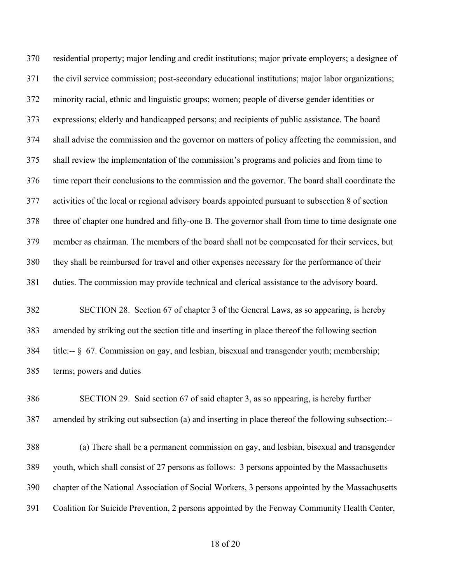residential property; major lending and credit institutions; major private employers; a designee of the civil service commission; post-secondary educational institutions; major labor organizations; minority racial, ethnic and linguistic groups; women; people of diverse gender identities or expressions; elderly and handicapped persons; and recipients of public assistance. The board shall advise the commission and the governor on matters of policy affecting the commission, and shall review the implementation of the commission's programs and policies and from time to time report their conclusions to the commission and the governor. The board shall coordinate the activities of the local or regional advisory boards appointed pursuant to subsection 8 of section three of chapter one hundred and fifty-one B. The governor shall from time to time designate one member as chairman. The members of the board shall not be compensated for their services, but they shall be reimbursed for travel and other expenses necessary for the performance of their duties. The commission may provide technical and clerical assistance to the advisory board.

 SECTION 28. Section 67 of chapter 3 of the General Laws, as so appearing, is hereby amended by striking out the section title and inserting in place thereof the following section title:-- § 67. Commission on gay, and lesbian, bisexual and transgender youth; membership; terms; powers and duties

 SECTION 29. Said section 67 of said chapter 3, as so appearing, is hereby further amended by striking out subsection (a) and inserting in place thereof the following subsection:--

 (a) There shall be a permanent commission on gay, and lesbian, bisexual and transgender youth, which shall consist of 27 persons as follows: 3 persons appointed by the Massachusetts chapter of the National Association of Social Workers, 3 persons appointed by the Massachusetts Coalition for Suicide Prevention, 2 persons appointed by the Fenway Community Health Center,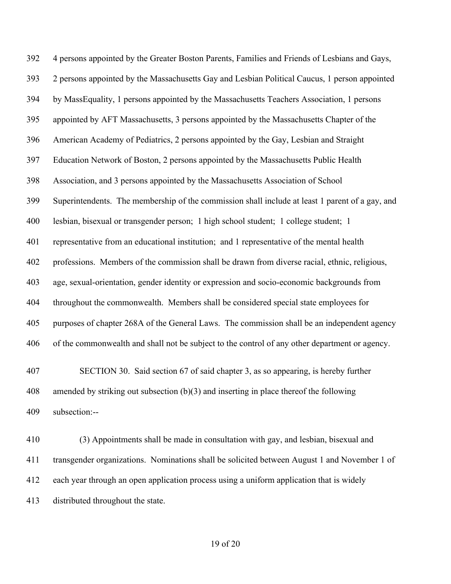4 persons appointed by the Greater Boston Parents, Families and Friends of Lesbians and Gays, 2 persons appointed by the Massachusetts Gay and Lesbian Political Caucus, 1 person appointed by MassEquality, 1 persons appointed by the Massachusetts Teachers Association, 1 persons appointed by AFT Massachusetts, 3 persons appointed by the Massachusetts Chapter of the American Academy of Pediatrics, 2 persons appointed by the Gay, Lesbian and Straight Education Network of Boston, 2 persons appointed by the Massachusetts Public Health Association, and 3 persons appointed by the Massachusetts Association of School Superintendents. The membership of the commission shall include at least 1 parent of a gay, and lesbian, bisexual or transgender person; 1 high school student; 1 college student; 1 representative from an educational institution; and 1 representative of the mental health professions. Members of the commission shall be drawn from diverse racial, ethnic, religious, age, sexual-orientation, gender identity or expression and socio-economic backgrounds from throughout the commonwealth. Members shall be considered special state employees for purposes of chapter 268A of the General Laws. The commission shall be an independent agency of the commonwealth and shall not be subject to the control of any other department or agency. SECTION 30. Said section 67 of said chapter 3, as so appearing, is hereby further amended by striking out subsection (b)(3) and inserting in place thereof the following

subsection:--

 (3) Appointments shall be made in consultation with gay, and lesbian, bisexual and transgender organizations. Nominations shall be solicited between August 1 and November 1 of each year through an open application process using a uniform application that is widely distributed throughout the state.